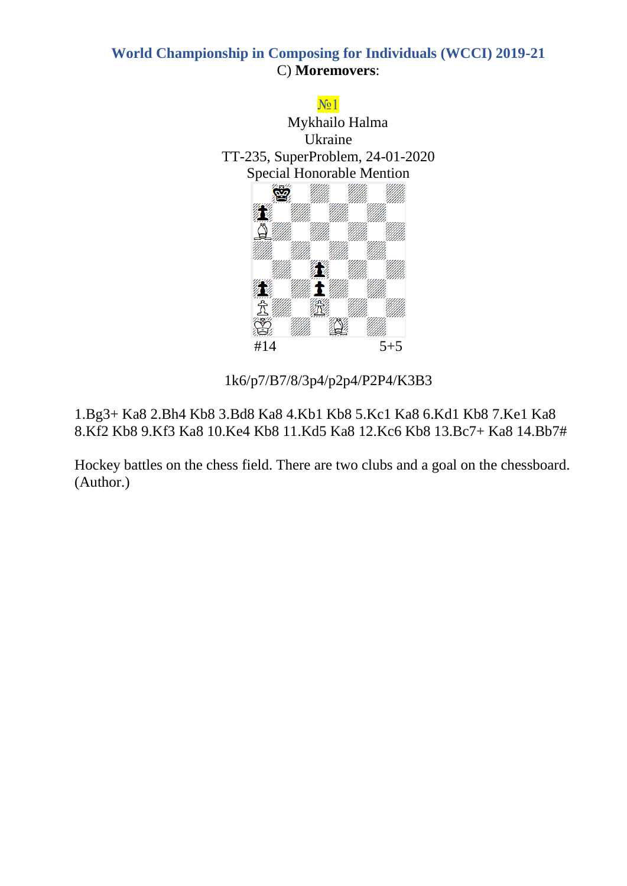

1k6/p7/B7/8/3p4/p2p4/P2P4/K3B3

1.Bg3+ Ka8 2.Bh4 Kb8 3.Bd8 Ka8 4.Kb1 Kb8 5.Kc1 Ka8 6.Kd1 Kb8 7.Ke1 Ka8 8.Kf2 Kb8 9.Kf3 Ka8 10.Ke4 Kb8 11.Kd5 Ka8 12.Kc6 Kb8 13.Bc7+ Ka8 14.Bb7#

Hockey battles on the chess field. There are two clubs and a goal on the chessboard. (Author.)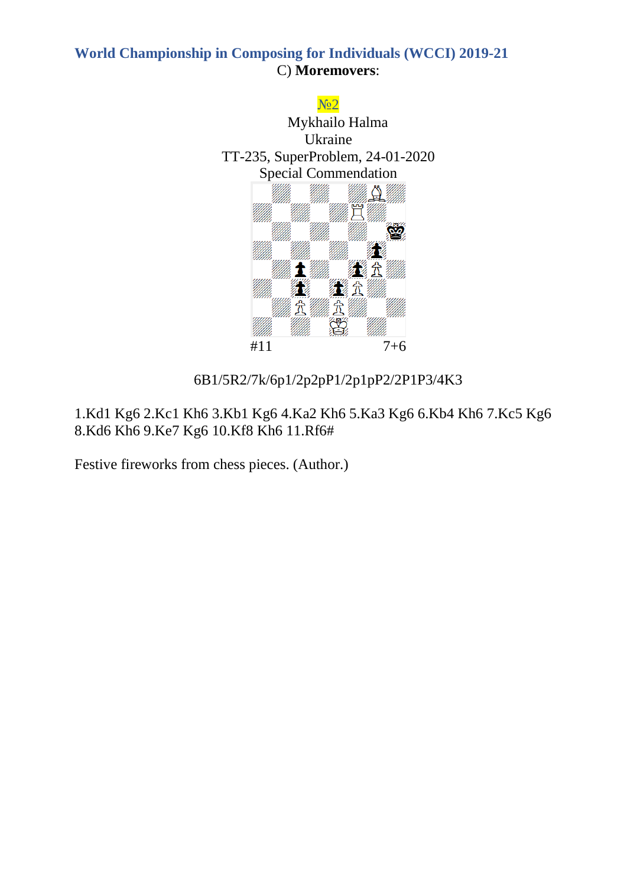

# 6B1/5R2/7k/6p1/2p2pP1/2p1pP2/2P1P3/4K3

1.Kd1 Kg6 2.Kc1 Kh6 3.Kb1 Kg6 4.Ka2 Kh6 5.Ka3 Kg6 6.Kb4 Kh6 7.Kc5 Kg6 8.Kd6 Kh6 9.Ke7 Kg6 10.Kf8 Kh6 11.Rf6#

Festive fireworks from chess pieces. (Author.)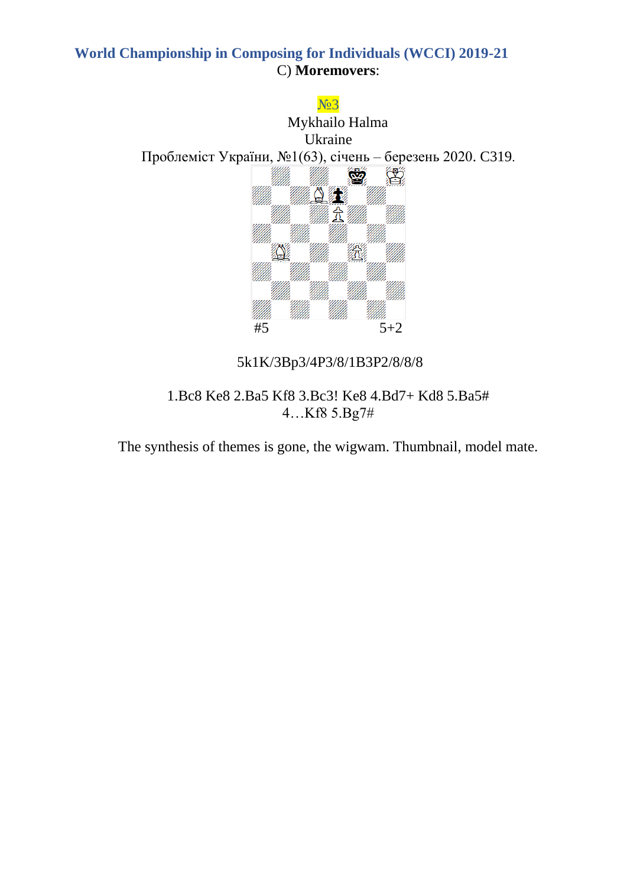

1.Bc8 Ke8 2.Ba5 Kf8 3.Bc3! Ke8 4.Bd7+ Kd8 5.Ba5# 4…Kf8 5.Bg7#

The synthesis of themes is gone, the wigwam. Thumbnail, model mate.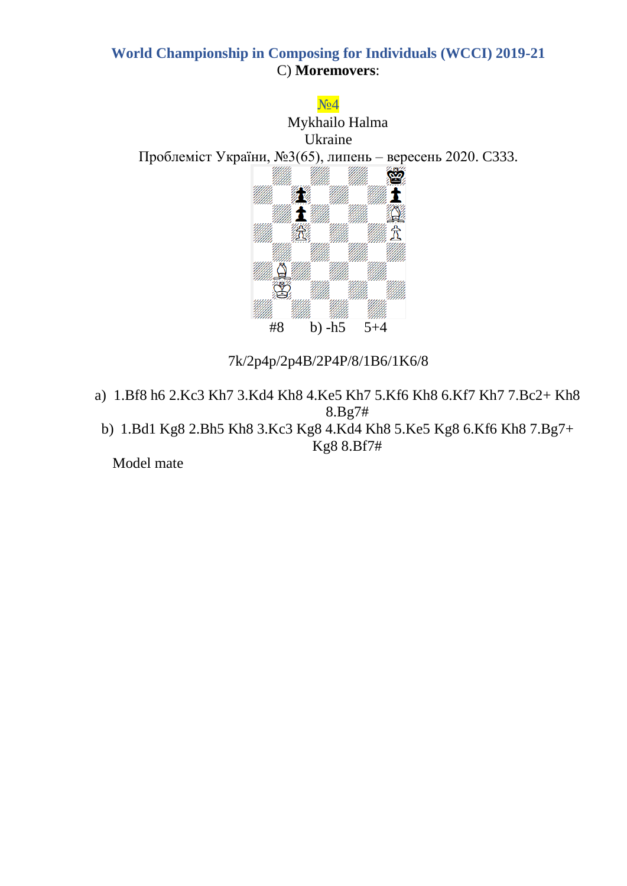

## 7k/2p4p/2p4B/2P4P/8/1B6/1K6/8

- a) 1.Bf8 h6 2.Kc3 Kh7 3.Kd4 Kh8 4.Ke5 Kh7 5.Kf6 Kh8 6.Kf7 Kh7 7.Bc2+ Kh8 8.Bg7#
	- b) 1.Bd1 Kg8 2.Bh5 Kh8 3.Kc3 Kg8 4.Kd4 Kh8 5.Ke5 Kg8 6.Kf6 Kh8 7.Bg7+ Kg8 8.Bf7#

Model mate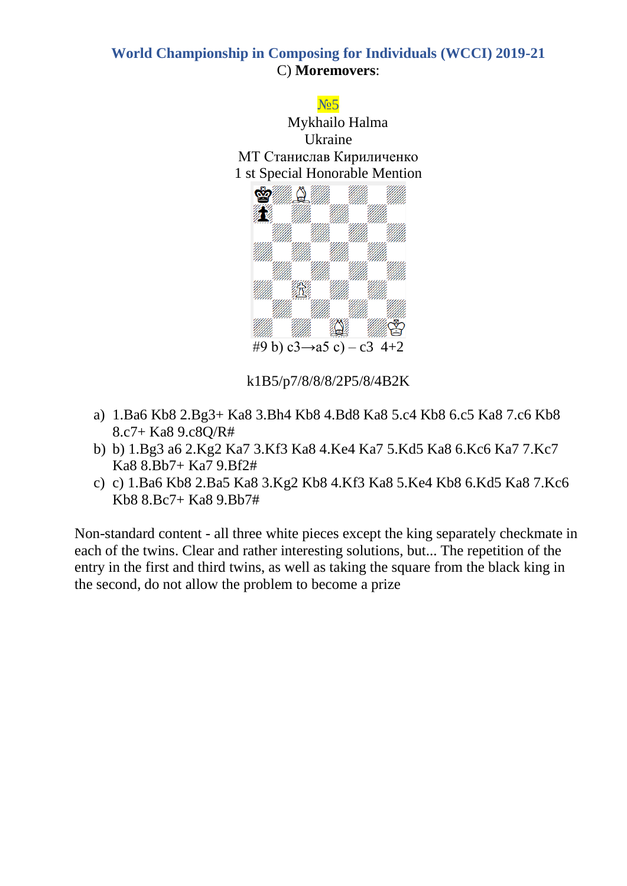

k1B5/p7/8/8/8/2P5/8/4B2K

- a) 1.Ba6 Kb8 2.Bg3+ Ka8 3.Bh4 Kb8 4.Bd8 Ka8 5.c4 Kb8 6.c5 Ka8 7.c6 Kb8 8.c7+ Ka8 9.c8Q/R#
- b) b) 1.Bg3 a6 2.Kg2 Ka7 3.Kf3 Ka8 4.Ke4 Ka7 5.Kd5 Ka8 6.Kc6 Ka7 7.Kc7 Ka8 8.Bb7+ Ka7 9.Bf2#
- c) c) 1.Ba6 Kb8 2.Ba5 Ka8 3.Kg2 Kb8 4.Kf3 Ka8 5.Ke4 Kb8 6.Kd5 Ka8 7.Kc6 Kb8 8.Bc7+ Ka8 9.Bb7#

Non-standard content - all three white pieces except the king separately checkmate in each of the twins. Clear and rather interesting solutions, but... The repetition of the entry in the first and third twins, as well as taking the square from the black king in the second, do not allow the problem to become a prize